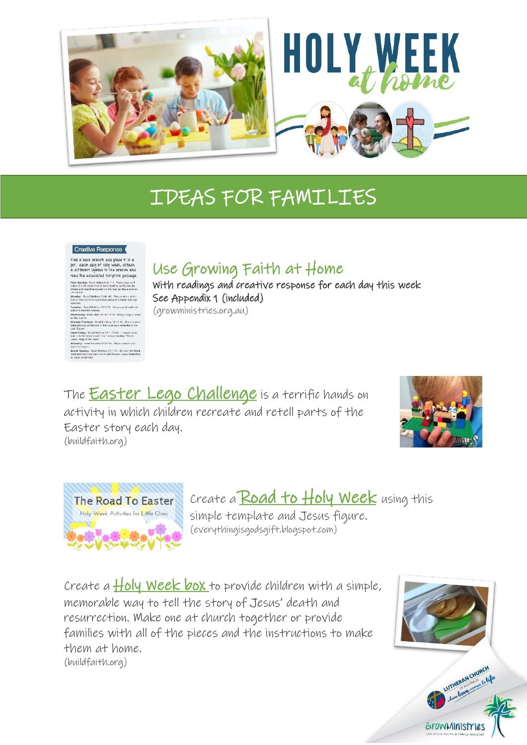

## IDEAS FOR FAMILIES

## Creative Response

I

Find a bare branch and place if in a Final a bare branch and piace it in a<br>pot. Each day of Holy Week, attach<br>a different symbol to the branch and<br>read the associated Scripture passage. day: Road Metthow 21:1-9. Place twi<br>oth at the foot of the branch to symbo<br>I branches soresd on the road as Jes. .<br>Ed Matthew 21:42-48. Place a store at the<br>Inch to symbolise Jesus, the stone that was **uday:** Ficad Mothew 28:17-3<br>at the foot of the owner colairs rances.<br>Inday: Road Matthew 28:1-10. Remove the black<br>decorate the branch with flowers, paper butterflies

Use Growing Faith at Home

With readings and creative response for each day this week See Appendix 1 (included)

(growministries.org.au)

The [Easter Lego Challenge](https://buildfaith.org/journey-through-holy-week-with-lego/) is a terrific hands on activity in which children recreate and retell parts of the Easter story each day. (buildfaith.org)





Create a Road to  $H$ oly Week using this simple template and Jesus figure. (everythingisgodsgift.blogspot.com)

Create a  $H$ oly Week box to provide children with a simple, memorable way to tell the story of Jesus' death and resurrection. Make one at church together or provide families with all of the pieces and the instructions to make them at home. (buildfaith.org)